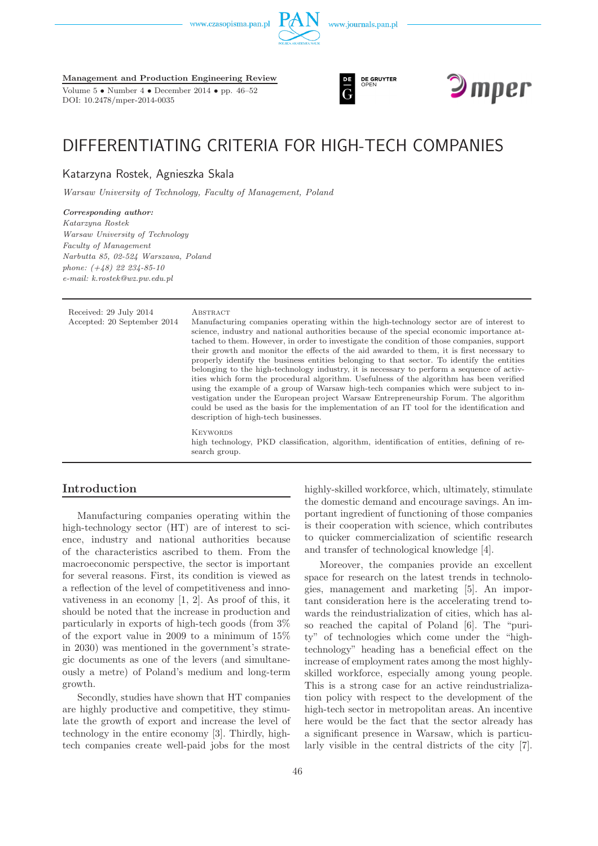www.czasopisma.pan.pl





Volume 5 • Number 4 • December 2014 • pp. 46–52 DOI: 10.2478/mper-2014-0035





# DIFFERENTIATING CRITERIA FOR HIGH-TECH COMPANIES

Katarzyna Rostek, Agnieszka Skala

*Warsaw University of Technology, Faculty of Management, Poland*

#### *Corresponding author: Katarzyna Rostek Warsaw University of Technology Faculty of Management Narbutta 85, 02-524 Warszawa, Poland phone: (+48) 22 234-85-10*

*e-mail: k.rostek@wz.pw.edu.pl*

Received: 29 July 2014 ABSTRACT Accepted: 20 September 2014 Manufacturing companies operating within the high-technology sector are of interest to science, industry and national authorities because of the special economic importance attached to them. However, in order to investigate the condition of those companies, support their growth and monitor the effects of the aid awarded to them, it is first necessary to properly identify the business entities belonging to that sector. To identify the entities belonging to the high-technology industry, it is necessary to perform a sequence of activities which form the procedural algorithm. Usefulness of the algorithm has been verified using the example of a group of Warsaw high-tech companies which were subject to investigation under the European project Warsaw Entrepreneurship Forum. The algorithm could be used as the basis for the implementation of an IT tool for the identification and description of high-tech businesses. **KEYWORDS** high technology, PKD classification, algorithm, identification of entities, defining of research group.

## **Introduction**

Manufacturing companies operating within the high-technology sector (HT) are of interest to science, industry and national authorities because of the characteristics ascribed to them. From the macroeconomic perspective, the sector is important for several reasons. First, its condition is viewed as a reflection of the level of competitiveness and innovativeness in an economy [1, 2]. As proof of this, it should be noted that the increase in production and particularly in exports of high-tech goods (from 3% of the export value in 2009 to a minimum of 15% in 2030) was mentioned in the government's strategic documents as one of the levers (and simultaneously a metre) of Poland's medium and long-term growth.

Secondly, studies have shown that HT companies are highly productive and competitive, they stimulate the growth of export and increase the level of technology in the entire economy [3]. Thirdly, hightech companies create well-paid jobs for the most

highly-skilled workforce, which, ultimately, stimulate the domestic demand and encourage savings. An important ingredient of functioning of those companies is their cooperation with science, which contributes to quicker commercialization of scientific research and transfer of technological knowledge [4].

Moreover, the companies provide an excellent space for research on the latest trends in technologies, management and marketing [5]. An important consideration here is the accelerating trend towards the reindustrialization of cities, which has also reached the capital of Poland [6]. The "purity" of technologies which come under the "hightechnology" heading has a beneficial effect on the increase of employment rates among the most highlyskilled workforce, especially among young people. This is a strong case for an active reindustrialization policy with respect to the development of the high-tech sector in metropolitan areas. An incentive here would be the fact that the sector already has a significant presence in Warsaw, which is particularly visible in the central districts of the city [7].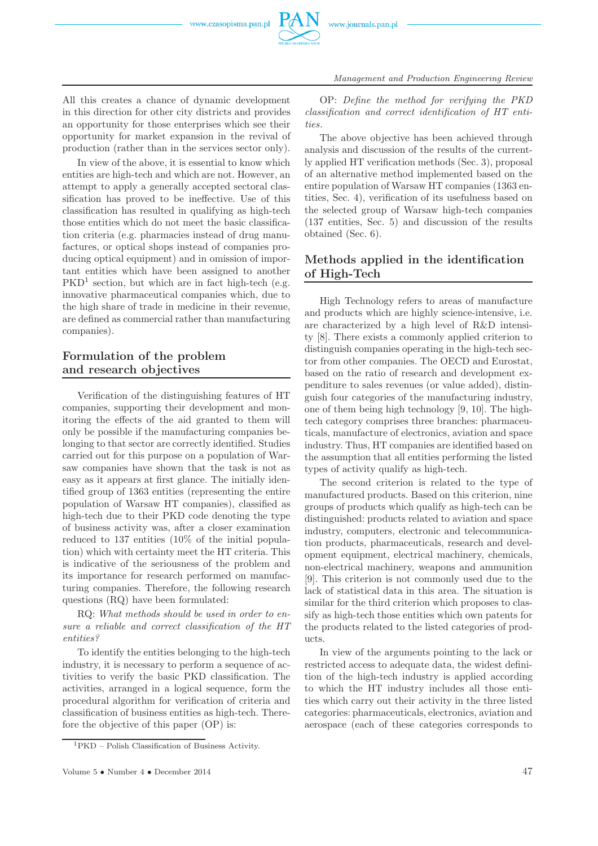

All this creates a chance of dynamic development in this direction for other city districts and provides an opportunity for those enterprises which see their opportunity for market expansion in the revival of production (rather than in the services sector only).

In view of the above, it is essential to know which entities are high-tech and which are not. However, an attempt to apply a generally accepted sectoral classification has proved to be ineffective. Use of this classification has resulted in qualifying as high-tech those entities which do not meet the basic classification criteria (e.g. pharmacies instead of drug manufactures, or optical shops instead of companies producing optical equipment) and in omission of important entities which have been assigned to another PKD<sup>1</sup> section, but which are in fact high-tech (e.g. innovative pharmaceutical companies which, due to the high share of trade in medicine in their revenue, are defined as commercial rather than manufacturing companies).

# **Formulation of the problem and research objectives**

Verification of the distinguishing features of HT companies, supporting their development and monitoring the effects of the aid granted to them will only be possible if the manufacturing companies belonging to that sector are correctly identified. Studies carried out for this purpose on a population of Warsaw companies have shown that the task is not as easy as it appears at first glance. The initially identified group of 1363 entities (representing the entire population of Warsaw HT companies), classified as high-tech due to their PKD code denoting the type of business activity was, after a closer examination reduced to 137 entities (10% of the initial population) which with certainty meet the HT criteria. This is indicative of the seriousness of the problem and its importance for research performed on manufacturing companies. Therefore, the following research questions (RQ) have been formulated:

RQ: *What methods should be used in order to ensure a reliable and correct classification of the HT entities?*

To identify the entities belonging to the high-tech industry, it is necessary to perform a sequence of activities to verify the basic PKD classification. The activities, arranged in a logical sequence, form the procedural algorithm for verification of criteria and classification of business entities as high-tech. Therefore the objective of this paper (OP) is:

OP: *Define the method for verifying the PKD classification and correct identification of HT entities.*

The above objective has been achieved through analysis and discussion of the results of the currently applied HT verification methods (Sec. 3), proposal of an alternative method implemented based on the entire population of Warsaw HT companies (1363 entities, Sec. 4), verification of its usefulness based on the selected group of Warsaw high-tech companies (137 entities, Sec. 5) and discussion of the results obtained (Sec. 6).

# **Methods applied in the identification of High-Tech**

High Technology refers to areas of manufacture and products which are highly science-intensive, i.e. are characterized by a high level of R&D intensity [8]. There exists a commonly applied criterion to distinguish companies operating in the high-tech sector from other companies. The OECD and Eurostat, based on the ratio of research and development expenditure to sales revenues (or value added), distinguish four categories of the manufacturing industry, one of them being high technology [9, 10]. The hightech category comprises three branches: pharmaceuticals, manufacture of electronics, aviation and space industry. Thus, HT companies are identified based on the assumption that all entities performing the listed types of activity qualify as high-tech.

The second criterion is related to the type of manufactured products. Based on this criterion, nine groups of products which qualify as high-tech can be distinguished: products related to aviation and space industry, computers, electronic and telecommunication products, pharmaceuticals, research and development equipment, electrical machinery, chemicals, non-electrical machinery, weapons and ammunition [9]. This criterion is not commonly used due to the lack of statistical data in this area. The situation is similar for the third criterion which proposes to classify as high-tech those entities which own patents for the products related to the listed categories of products.

In view of the arguments pointing to the lack or restricted access to adequate data, the widest definition of the high-tech industry is applied according to which the HT industry includes all those entities which carry out their activity in the three listed categories: pharmaceuticals, electronics, aviation and aerospace (each of these categories corresponds to

<sup>1</sup>PKD – Polish Classification of Business Activity.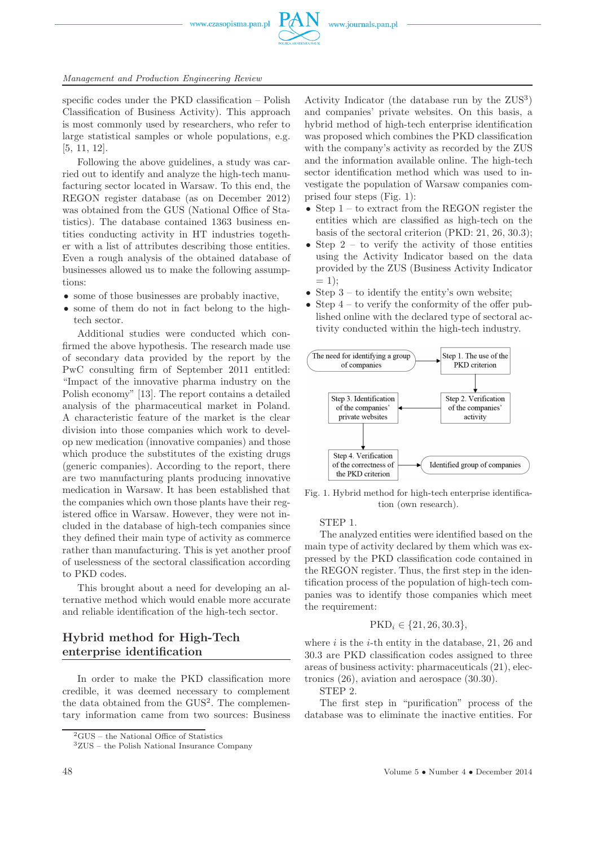

specific codes under the PKD classification – Polish Classification of Business Activity). This approach is most commonly used by researchers, who refer to large statistical samples or whole populations, e.g. [5, 11, 12].

Following the above guidelines, a study was carried out to identify and analyze the high-tech manufacturing sector located in Warsaw. To this end, the REGON register database (as on December 2012) was obtained from the GUS (National Office of Statistics). The database contained 1363 business entities conducting activity in HT industries together with a list of attributes describing those entities. Even a rough analysis of the obtained database of businesses allowed us to make the following assumptions:

- some of those businesses are probably inactive.
- some of them do not in fact belong to the hightech sector.

Additional studies were conducted which confirmed the above hypothesis. The research made use of secondary data provided by the report by the PwC consulting firm of September 2011 entitled: "Impact of the innovative pharma industry on the Polish economy" [13]. The report contains a detailed analysis of the pharmaceutical market in Poland. A characteristic feature of the market is the clear division into those companies which work to develop new medication (innovative companies) and those which produce the substitutes of the existing drugs (generic companies). According to the report, there are two manufacturing plants producing innovative medication in Warsaw. It has been established that the companies which own those plants have their registered office in Warsaw. However, they were not included in the database of high-tech companies since they defined their main type of activity as commerce rather than manufacturing. This is yet another proof of uselessness of the sectoral classification according to PKD codes.

This brought about a need for developing an alternative method which would enable more accurate and reliable identification of the high-tech sector.

## **Hybrid method for High-Tech enterprise identification**

In order to make the PKD classification more credible, it was deemed necessary to complement the data obtained from the GUS<sup>2</sup> . The complementary information came from two sources: Business

Activity Indicator (the database run by the ZUS<sup>3</sup>) and companies' private websites. On this basis, a hybrid method of high-tech enterprise identification was proposed which combines the PKD classification with the company's activity as recorded by the ZUS and the information available online. The high-tech sector identification method which was used to investigate the population of Warsaw companies comprised four steps (Fig. 1):

- Step  $1 -$  to extract from the REGON register the entities which are classified as high-tech on the basis of the sectoral criterion (PKD: 21, 26, 30.3);
- Step  $2 -$  to verify the activity of those entities using the Activity Indicator based on the data provided by the ZUS (Business Activity Indicator  $= 1$ ;
- Step  $3 -$  to identify the entity's own website;
- Step  $4$  to verify the conformity of the offer published online with the declared type of sectoral activity conducted within the high-tech industry.



Fig. 1. Hybrid method for high-tech enterprise identification (own research).

#### STEP 1.

The analyzed entities were identified based on the main type of activity declared by them which was expressed by the PKD classification code contained in the REGON register. Thus, the first step in the identification process of the population of high-tech companies was to identify those companies which meet the requirement:

$$
PKD_i \in \{21, 26, 30.3\},\
$$

where  $i$  is the  $i$ -th entity in the database, 21, 26 and 30.3 are PKD classification codes assigned to three areas of business activity: pharmaceuticals (21), electronics (26), aviation and aerospace (30.30).

STEP 2.

The first step in "purification" process of the database was to eliminate the inactive entities. For

<sup>2</sup>GUS – the National Office of Statistics

 $^3{\rm ZUS}$  – the Polish National Insurance Company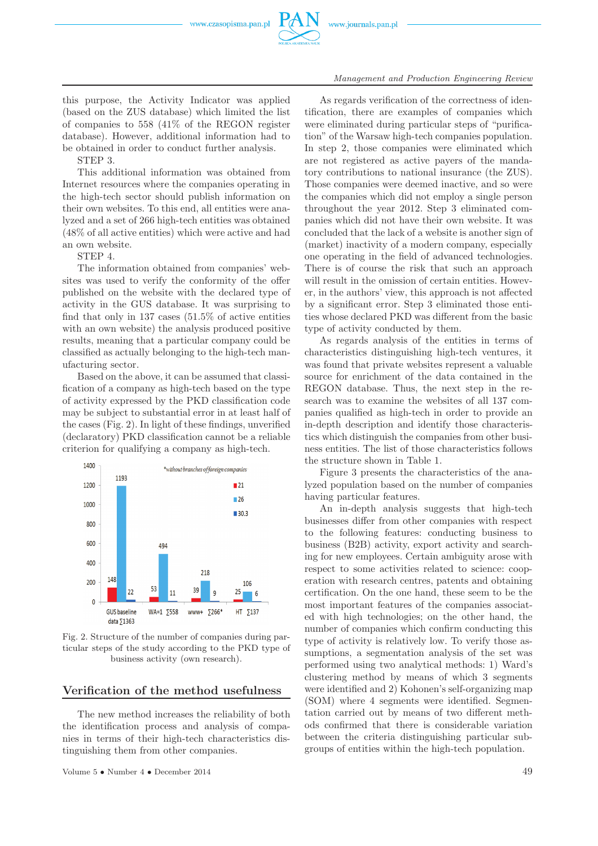

this purpose, the Activity Indicator was applied (based on the ZUS database) which limited the list of companies to 558 (41% of the REGON register database). However, additional information had to be obtained in order to conduct further analysis.

STEP 3.

This additional information was obtained from Internet resources where the companies operating in the high-tech sector should publish information on their own websites. To this end, all entities were analyzed and a set of 266 high-tech entities was obtained (48% of all active entities) which were active and had an own website.

STEP 4.

The information obtained from companies' websites was used to verify the conformity of the offer published on the website with the declared type of activity in the GUS database. It was surprising to find that only in 137 cases (51.5% of active entities with an own website) the analysis produced positive results, meaning that a particular company could be classified as actually belonging to the high-tech manufacturing sector.

Based on the above, it can be assumed that classification of a company as high-tech based on the type of activity expressed by the PKD classification code may be subject to substantial error in at least half of the cases (Fig. 2). In light of these findings, unverified (declaratory) PKD classification cannot be a reliable criterion for qualifying a company as high-tech.



Fig. 2. Structure of the number of companies during particular steps of the study according to the PKD type of business activity (own research).

## **Verification of the method usefulness**

The new method increases the reliability of both the identification process and analysis of companies in terms of their high-tech characteristics distinguishing them from other companies.

Volume 5 • Number 4 • December 2014 49

As regards verification of the correctness of identification, there are examples of companies which were eliminated during particular steps of "purification" of the Warsaw high-tech companies population. In step 2, those companies were eliminated which are not registered as active payers of the mandatory contributions to national insurance (the ZUS). Those companies were deemed inactive, and so were the companies which did not employ a single person throughout the year 2012. Step 3 eliminated companies which did not have their own website. It was concluded that the lack of a website is another sign of (market) inactivity of a modern company, especially one operating in the field of advanced technologies. There is of course the risk that such an approach will result in the omission of certain entities. However, in the authors' view, this approach is not affected by a significant error. Step 3 eliminated those entities whose declared PKD was different from the basic type of activity conducted by them.

As regards analysis of the entities in terms of characteristics distinguishing high-tech ventures, it was found that private websites represent a valuable source for enrichment of the data contained in the REGON database. Thus, the next step in the research was to examine the websites of all 137 companies qualified as high-tech in order to provide an in-depth description and identify those characteristics which distinguish the companies from other business entities. The list of those characteristics follows the structure shown in Table 1.

Figure 3 presents the characteristics of the analyzed population based on the number of companies having particular features.

An in-depth analysis suggests that high-tech businesses differ from other companies with respect to the following features: conducting business to business (B2B) activity, export activity and searching for new employees. Certain ambiguity arose with respect to some activities related to science: cooperation with research centres, patents and obtaining certification. On the one hand, these seem to be the most important features of the companies associated with high technologies; on the other hand, the number of companies which confirm conducting this type of activity is relatively low. To verify those assumptions, a segmentation analysis of the set was performed using two analytical methods: 1) Ward's clustering method by means of which 3 segments were identified and 2) Kohonen's self-organizing map (SOM) where 4 segments were identified. Segmentation carried out by means of two different methods confirmed that there is considerable variation between the criteria distinguishing particular subgroups of entities within the high-tech population.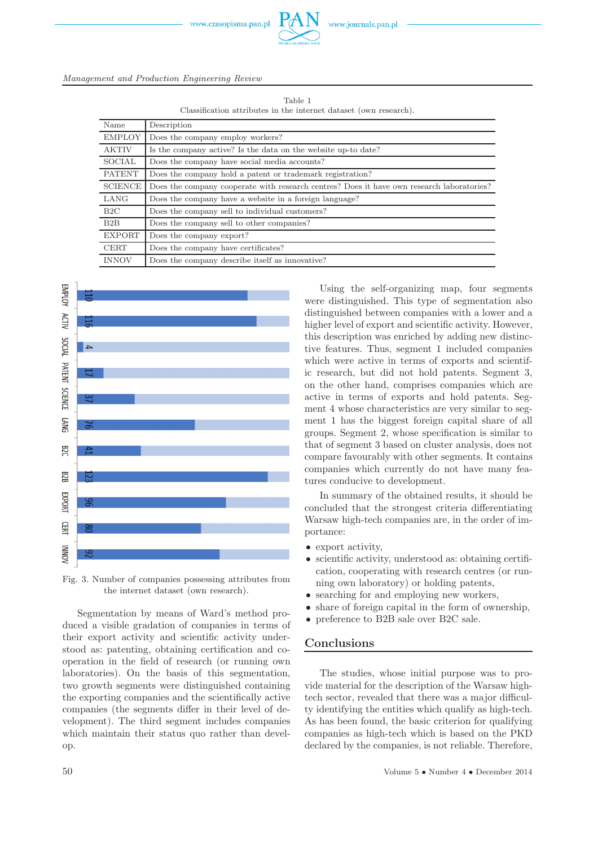

Table 1 Classification attributes in the internet dataset (own research).

| Name           | Description                                                                               |
|----------------|-------------------------------------------------------------------------------------------|
| <b>EMPLOY</b>  | Does the company employ workers?                                                          |
| <b>AKTIV</b>   | Is the company active? Is the data on the website up-to date?                             |
| SOCIAL         | Does the company have social media accounts?                                              |
| <b>PATENT</b>  | Does the company hold a patent or trademark registration?                                 |
| <b>SCIENCE</b> | Does the company cooperate with research centres? Does it have own research laboratories? |
| LANG           | Does the company have a website in a foreign language?                                    |
| B2C            | Does the company sell to individual customers?                                            |
| B2B            | Does the company sell to other companies?                                                 |
| <b>EXPORT</b>  | Does the company export?                                                                  |
| <b>CERT</b>    | Does the company have certificates?                                                       |
| <b>INNOV</b>   | Does the company describe itself as innovative?                                           |







Segmentation by means of Ward's method produced a visible gradation of companies in terms of their export activity and scientific activity understood as: patenting, obtaining certification and cooperation in the field of research (or running own laboratories). On the basis of this segmentation, two growth segments were distinguished containing the exporting companies and the scientifically active companies (the segments differ in their level of development). The third segment includes companies which maintain their status quo rather than develop.

Using the self-organizing map, four segments were distinguished. This type of segmentation also distinguished between companies with a lower and a higher level of export and scientific activity. However, this description was enriched by adding new distinctive features. Thus, segment 1 included companies which were active in terms of exports and scientific research, but did not hold patents. Segment 3, on the other hand, comprises companies which are active in terms of exports and hold patents. Segment 4 whose characteristics are very similar to segment 1 has the biggest foreign capital share of all groups. Segment 2, whose specification is similar to that of segment 3 based on cluster analysis, does not compare favourably with other segments. It contains companies which currently do not have many features conducive to development.

In summary of the obtained results, it should be concluded that the strongest criteria differentiating Warsaw high-tech companies are, in the order of importance:

- export activity,
- scientific activity, understood as: obtaining certification, cooperating with research centres (or running own laboratory) or holding patents,
- searching for and employing new workers,
- share of foreign capital in the form of ownership,
- preference to B2B sale over B2C sale.

### **Conclusions**

The studies, whose initial purpose was to provide material for the description of the Warsaw hightech sector, revealed that there was a major difficulty identifying the entities which qualify as high-tech. As has been found, the basic criterion for qualifying companies as high-tech which is based on the PKD declared by the companies, is not reliable. Therefore,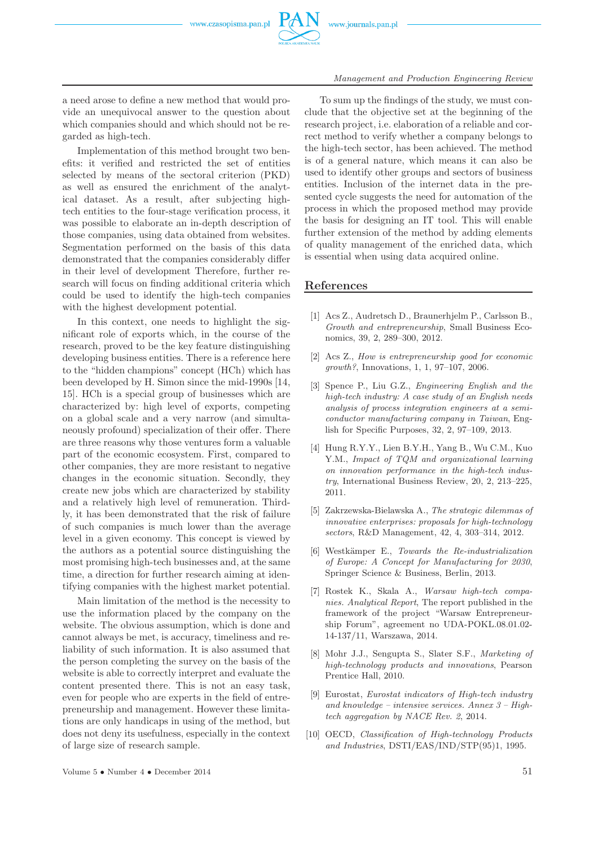

a need arose to define a new method that would provide an unequivocal answer to the question about which companies should and which should not be regarded as high-tech.

Implementation of this method brought two benefits: it verified and restricted the set of entities selected by means of the sectoral criterion (PKD) as well as ensured the enrichment of the analytical dataset. As a result, after subjecting hightech entities to the four-stage verification process, it was possible to elaborate an in-depth description of those companies, using data obtained from websites. Segmentation performed on the basis of this data demonstrated that the companies considerably differ in their level of development Therefore, further research will focus on finding additional criteria which could be used to identify the high-tech companies with the highest development potential.

In this context, one needs to highlight the significant role of exports which, in the course of the research, proved to be the key feature distinguishing developing business entities. There is a reference here to the "hidden champions" concept (HCh) which has been developed by H. Simon since the mid-1990s [14, 15]. HCh is a special group of businesses which are characterized by: high level of exports, competing on a global scale and a very narrow (and simultaneously profound) specialization of their offer. There are three reasons why those ventures form a valuable part of the economic ecosystem. First, compared to other companies, they are more resistant to negative changes in the economic situation. Secondly, they create new jobs which are characterized by stability and a relatively high level of remuneration. Thirdly, it has been demonstrated that the risk of failure of such companies is much lower than the average level in a given economy. This concept is viewed by the authors as a potential source distinguishing the most promising high-tech businesses and, at the same time, a direction for further research aiming at identifying companies with the highest market potential.

Main limitation of the method is the necessity to use the information placed by the company on the website. The obvious assumption, which is done and cannot always be met, is accuracy, timeliness and reliability of such information. It is also assumed that the person completing the survey on the basis of the website is able to correctly interpret and evaluate the content presented there. This is not an easy task, even for people who are experts in the field of entrepreneurship and management. However these limitations are only handicaps in using of the method, but does not deny its usefulness, especially in the context of large size of research sample.

To sum up the findings of the study, we must conclude that the objective set at the beginning of the research project, i.e. elaboration of a reliable and correct method to verify whether a company belongs to the high-tech sector, has been achieved. The method is of a general nature, which means it can also be used to identify other groups and sectors of business entities. Inclusion of the internet data in the presented cycle suggests the need for automation of the process in which the proposed method may provide the basis for designing an IT tool. This will enable further extension of the method by adding elements of quality management of the enriched data, which is essential when using data acquired online.

#### **References**

- [1] Acs Z., Audretsch D., Braunerhjelm P., Carlsson B., *Growth and entrepreneurship*, Small Business Economics, 39, 2, 289–300, 2012.
- [2] Acs Z., *How is entrepreneurship good for economic growth?*, Innovations, 1, 1, 97–107, 2006.
- [3] Spence P., Liu G.Z., *Engineering English and the high-tech industry: A case study of an English needs analysis of process integration engineers at a semiconductor manufacturing company in Taiwan*, English for Specific Purposes, 32, 2, 97–109, 2013.
- [4] Hung R.Y.Y., Lien B.Y.H., Yang B., Wu C.M., Kuo Y.M., *Impact of TQM and organizational learning on innovation performance in the high-tech industry*, International Business Review, 20, 2, 213–225, 2011.
- [5] Zakrzewska-Bielawska A., *The strategic dilemmas of innovative enterprises: proposals for high-technology sectors*, R&D Management, 42, 4, 303–314, 2012.
- [6] Westk¨amper E., *Towards the Re-industrialization of Europe: A Concept for Manufacturing for 2030*, Springer Science & Business, Berlin, 2013.
- [7] Rostek K., Skala A., *Warsaw high-tech companies. Analytical Report*, The report published in the framework of the project "Warsaw Entrepreneurship Forum", agreement no UDA-POKL.08.01.02- 14-137/11, Warszawa, 2014.
- [8] Mohr J.J., Sengupta S., Slater S.F., *Marketing of high-technology products and innovations*, Pearson Prentice Hall, 2010.
- [9] Eurostat, *Eurostat indicators of High-tech industry and knowledge – intensive services. Annex 3 – Hightech aggregation by NACE Rev. 2*, 2014.
- [10] OECD, *Classification of High-technology Products and Industries*, DSTI/EAS/IND/STP(95)1, 1995.